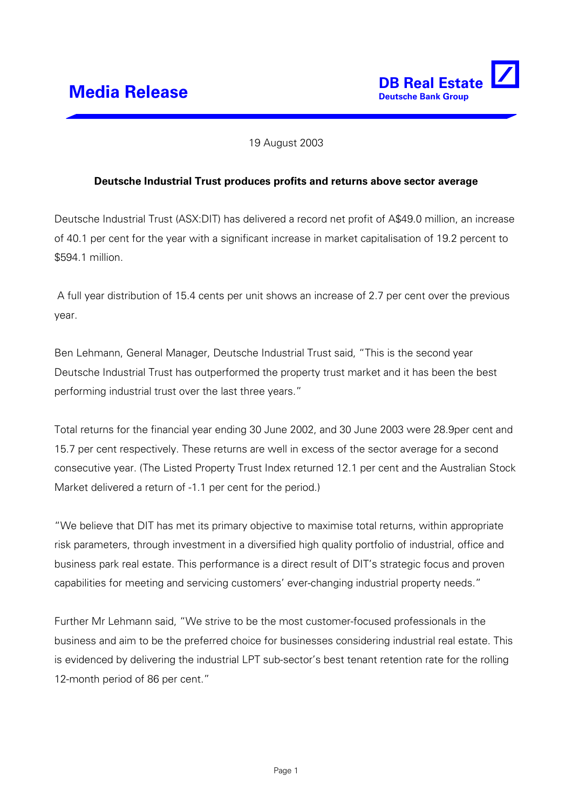

### 19 August 2003

### **Deutsche Industrial Trust produces profits and returns above sector average**

Deutsche Industrial Trust (ASX:DIT) has delivered a record net profit of A\$49.0 million, an increase of 40.1 per cent for the year with a significant increase in market capitalisation of 19.2 percent to \$594.1 million.

 A full year distribution of 15.4 cents per unit shows an increase of 2.7 per cent over the previous year.

Ben Lehmann, General Manager, Deutsche Industrial Trust said, "This is the second year Deutsche Industrial Trust has outperformed the property trust market and it has been the best performing industrial trust over the last three years."

Total returns for the financial year ending 30 June 2002, and 30 June 2003 were 28.9per cent and 15.7 per cent respectively. These returns are well in excess of the sector average for a second consecutive year. (The Listed Property Trust Index returned 12.1 per cent and the Australian Stock Market delivered a return of -1.1 per cent for the period.)

"We believe that DIT has met its primary objective to maximise total returns, within appropriate risk parameters, through investment in a diversified high quality portfolio of industrial, office and business park real estate. This performance is a direct result of DIT's strategic focus and proven capabilities for meeting and servicing customers' ever-changing industrial property needs."

Further Mr Lehmann said, "We strive to be the most customer-focused professionals in the business and aim to be the preferred choice for businesses considering industrial real estate. This is evidenced by delivering the industrial LPT sub-sector's best tenant retention rate for the rolling 12-month period of 86 per cent."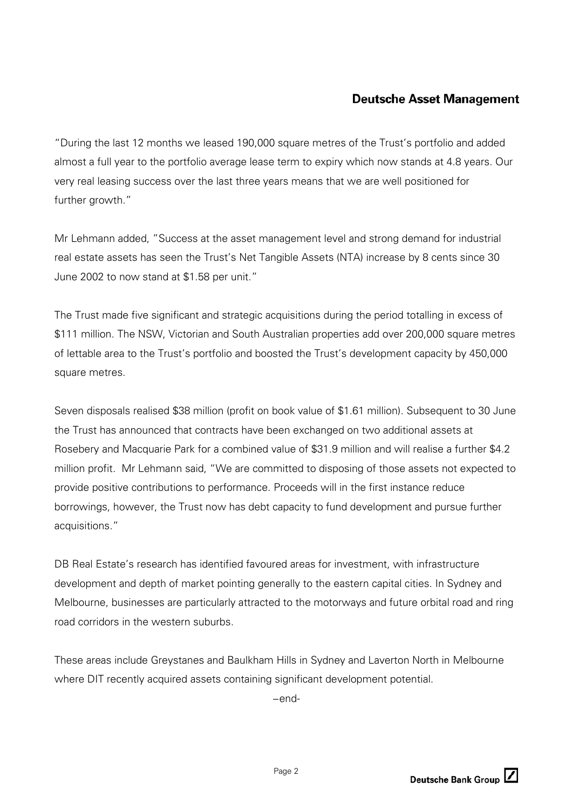# **Deutsche Asset Management**

"During the last 12 months we leased 190,000 square metres of the Trust's portfolio and added almost a full year to the portfolio average lease term to expiry which now stands at 4.8 years. Our very real leasing success over the last three years means that we are well positioned for further growth."

Mr Lehmann added, "Success at the asset management level and strong demand for industrial real estate assets has seen the Trust's Net Tangible Assets (NTA) increase by 8 cents since 30 June 2002 to now stand at \$1.58 per unit."

The Trust made five significant and strategic acquisitions during the period totalling in excess of \$111 million. The NSW, Victorian and South Australian properties add over 200,000 square metres of lettable area to the Trust's portfolio and boosted the Trust's development capacity by 450,000 square metres.

Seven disposals realised \$38 million (profit on book value of \$1.61 million). Subsequent to 30 June the Trust has announced that contracts have been exchanged on two additional assets at Rosebery and Macquarie Park for a combined value of \$31.9 million and will realise a further \$4.2 million profit. Mr Lehmann said, "We are committed to disposing of those assets not expected to provide positive contributions to performance. Proceeds will in the first instance reduce borrowings, however, the Trust now has debt capacity to fund development and pursue further acquisitions."

DB Real Estate's research has identified favoured areas for investment, with infrastructure development and depth of market pointing generally to the eastern capital cities. In Sydney and Melbourne, businesses are particularly attracted to the motorways and future orbital road and ring road corridors in the western suburbs.

These areas include Greystanes and Baulkham Hills in Sydney and Laverton North in Melbourne where DIT recently acquired assets containing significant development potential.

−end-